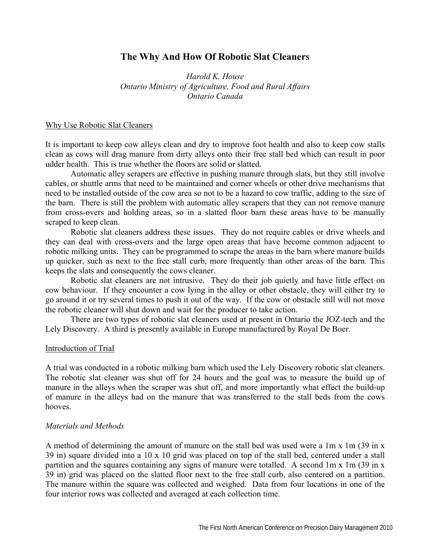# **The Why And How Of Robotic Slat Cleaners**

*Harold K. House Ontario Ministry of Agriculture, Food and Rural Affairs Ontario Canada* 

#### Why Use Robotic Slat Cleaners

It is important to keep cow alleys clean and dry to improve foot health and also to keep cow stalls clean as cows will drag manure from dirty alleys onto their free stall bed which can result in poor udder health. This is true whether the floors are solid or slatted.

 Automatic alley scrapers are effective in pushing manure through slats, but they still involve cables, or shuttle arms that need to be maintained and corner wheels or other drive mechanisms that need to be installed outside of the cow area so not to be a hazard to cow traffic, adding to the size of the barn. There is still the problem with automatic alley scrapers that they can not remove manure from cross-overs and holding areas, so in a slatted floor barn these areas have to be manually scraped to keep clean.

 Robotic slat cleaners address these issues. They do not require cables or drive wheels and they can deal with cross-overs and the large open areas that have become common adjacent to robotic milking units. They can be programmed to scrape the areas in the barn where manure builds up quicker, such as next to the free stall curb, more frequently than other areas of the barn. This keeps the slats and consequently the cows cleaner.

 Robotic slat cleaners are not intrusive. They do their job quietly and have little effect on cow behaviour. If they encounter a cow lying in the alley or other obstacle, they will either try to go around it or try several times to push it out of the way. If the cow or obstacle still will not move the robotic cleaner will shut down and wait for the producer to take action.

 There are two types of robotic slat cleaners used at present in Ontario the JOZ-tech and the Lely Discovery. A third is presently available in Europe manufactured by Royal De Boer.

#### Introduction of Trial

A trial was conducted in a robotic milking barn which used the Lely Discovery robotic slat cleaners. The robotic slat cleaner was shut off for 24 hours and the goal was to measure the build up of manure in the alleys when the scraper was shut off, and more importantly what effect the build-up of manure in the alleys had on the manure that was transferred to the stall beds from the cows hooves.

### *Materials and Methods*

A method of determining the amount of manure on the stall bed was used were a 1m x 1m (39 in x 39 in) square divided into a 10 x 10 grid was placed on top of the stall bed, centered under a stall partition and the squares containing any signs of manure were totalled. A second 1m x 1m (39 in x 39 in) grid was placed on the slatted floor next to the free stall curb, also centered on a partition. The manure within the square was collected and weighed. Data from four locations in one of the four interior rows was collected and averaged at each collection time.